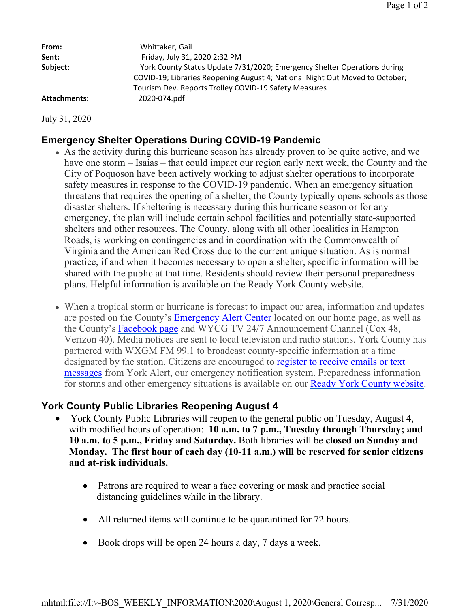| From:               | Whittaker, Gail                                                                                                                                                                                                   |
|---------------------|-------------------------------------------------------------------------------------------------------------------------------------------------------------------------------------------------------------------|
| Sent:               | Friday, July 31, 2020 2:32 PM                                                                                                                                                                                     |
| Subject:            | York County Status Update 7/31/2020; Emergency Shelter Operations during<br>COVID-19; Libraries Reopening August 4; National Night Out Moved to October;<br>Tourism Dev. Reports Trolley COVID-19 Safety Measures |
| <b>Attachments:</b> | 2020-074.pdf                                                                                                                                                                                                      |

July 31, 2020

# **Emergency Shelter Operations During COVID-19 Pandemic**

- As the activity during this hurricane season has already proven to be quite active, and we have one storm – Isaias – that could impact our region early next week, the County and the City of Poquoson have been actively working to adjust shelter operations to incorporate safety measures in response to the COVID-19 pandemic. When an emergency situation threatens that requires the opening of a shelter, the County typically opens schools as those disaster shelters. If sheltering is necessary during this hurricane season or for any emergency, the plan will include certain school facilities and potentially state-supported shelters and other resources. The County, along with all other localities in Hampton Roads, is working on contingencies and in coordination with the Commonwealth of Virginia and the American Red Cross due to the current unique situation. As is normal practice, if and when it becomes necessary to open a shelter, specific information will be shared with the public at that time. Residents should review their personal preparedness plans. Helpful information is available on the Ready York County website.
- When a tropical storm or hurricane is forecast to impact our area, information and updates are posted on the County's **Emergency Alert Center** located on our home page, as well as the County's Facebook page and WYCG TV 24/7 Announcement Channel (Cox 48, Verizon 40). Media notices are sent to local television and radio stations. York County has partnered with WXGM FM 99.1 to broadcast county-specific information at a time designated by the station. Citizens are encouraged to register to receive emails or text messages from York Alert, our emergency notification system. Preparedness information for storms and other emergency situations is available on our Ready York County website.

## **York County Public Libraries Reopening August 4**

- York County Public Libraries will reopen to the general public on Tuesday, August 4, with modified hours of operation: **10 a.m. to 7 p.m., Tuesday through Thursday; and 10 a.m. to 5 p.m., Friday and Saturday.** Both libraries will be **closed on Sunday and Monday. The first hour of each day (10-11 a.m.) will be reserved for senior citizens and at-risk individuals.**
	- Patrons are required to wear a face covering or mask and practice social distancing guidelines while in the library.
	- All returned items will continue to be quarantined for 72 hours.
	- Book drops will be open 24 hours a day, 7 days a week.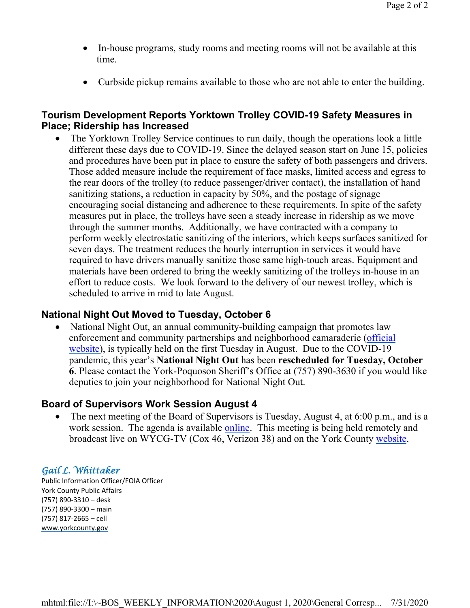- In-house programs, study rooms and meeting rooms will not be available at this time.
- Curbside pickup remains available to those who are not able to enter the building.

## **Tourism Development Reports Yorktown Trolley COVID-19 Safety Measures in Place; Ridership has Increased**

 The Yorktown Trolley Service continues to run daily, though the operations look a little different these days due to COVID-19. Since the delayed season start on June 15, policies and procedures have been put in place to ensure the safety of both passengers and drivers. Those added measure include the requirement of face masks, limited access and egress to the rear doors of the trolley (to reduce passenger/driver contact), the installation of hand sanitizing stations, a reduction in capacity by 50%, and the postage of signage encouraging social distancing and adherence to these requirements. In spite of the safety measures put in place, the trolleys have seen a steady increase in ridership as we move through the summer months. Additionally, we have contracted with a company to perform weekly electrostatic sanitizing of the interiors, which keeps surfaces sanitized for seven days. The treatment reduces the hourly interruption in services it would have required to have drivers manually sanitize those same high-touch areas. Equipment and materials have been ordered to bring the weekly sanitizing of the trolleys in-house in an effort to reduce costs. We look forward to the delivery of our newest trolley, which is scheduled to arrive in mid to late August.

## **National Night Out Moved to Tuesday, October 6**

• National Night Out, an annual community-building campaign that promotes law enforcement and community partnerships and neighborhood camaraderie (official website), is typically held on the first Tuesday in August. Due to the COVID-19 pandemic, this year's **National Night Out** has been **rescheduled for Tuesday, October 6**. Please contact the York-Poquoson Sheriff's Office at (757) 890-3630 if you would like deputies to join your neighborhood for National Night Out.

# **Board of Supervisors Work Session August 4**

• The next meeting of the Board of Supervisors is Tuesday, August 4, at 6:00 p.m., and is a work session. The agenda is available online. This meeting is being held remotely and broadcast live on WYCG-TV (Cox 46, Verizon 38) and on the York County website.

## Gail L. Whittaker

Public Information Officer/FOIA Officer York County Public Affairs (757) 890-3310 – desk (757) 890-3300 – main (757) 817-2665 – cell www.yorkcounty.gov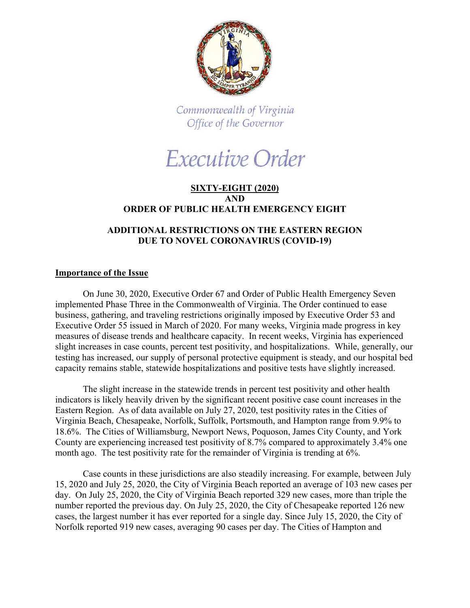

Commonwealth of Virginia Office of the Governor

# Executive Order

## **SIXTY-EIGHT (2020) AND ORDER OF PUBLIC HEALTH EMERGENCY EIGHT**

## **ADDITIONAL RESTRICTIONS ON THE EASTERN REGION DUE TO NOVEL CORONAVIRUS (COVID-19)**

#### **Importance of the Issue**

On June 30, 2020, Executive Order 67 and Order of Public Health Emergency Seven implemented Phase Three in the Commonwealth of Virginia. The Order continued to ease business, gathering, and traveling restrictions originally imposed by Executive Order 53 and Executive Order 55 issued in March of 2020. For many weeks, Virginia made progress in key measures of disease trends and healthcare capacity. In recent weeks, Virginia has experienced slight increases in case counts, percent test positivity, and hospitalizations. While, generally, our testing has increased, our supply of personal protective equipment is steady, and our hospital bed capacity remains stable, statewide hospitalizations and positive tests have slightly increased.

The slight increase in the statewide trends in percent test positivity and other health indicators is likely heavily driven by the significant recent positive case count increases in the Eastern Region. As of data available on July 27, 2020, test positivity rates in the Cities of Virginia Beach, Chesapeake, Norfolk, Suffolk, Portsmouth, and Hampton range from 9.9% to 18.6%. The Cities of Williamsburg, Newport News, Poquoson, James City County, and York County are experiencing increased test positivity of 8.7% compared to approximately 3.4% one month ago. The test positivity rate for the remainder of Virginia is trending at 6%.

Case counts in these jurisdictions are also steadily increasing. For example, between July 15, 2020 and July 25, 2020, the City of Virginia Beach reported an average of 103 new cases per day. On July 25, 2020, the City of Virginia Beach reported 329 new cases, more than triple the number reported the previous day. On July 25, 2020, the City of Chesapeake reported 126 new cases, the largest number it has ever reported for a single day. Since July 15, 2020, the City of Norfolk reported 919 new cases, averaging 90 cases per day. The Cities of Hampton and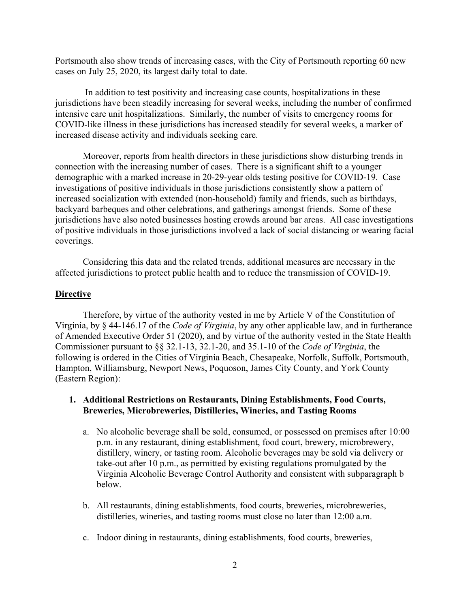Portsmouth also show trends of increasing cases, with the City of Portsmouth reporting 60 new cases on July 25, 2020, its largest daily total to date.

In addition to test positivity and increasing case counts, hospitalizations in these jurisdictions have been steadily increasing for several weeks, including the number of confirmed intensive care unit hospitalizations. Similarly, the number of visits to emergency rooms for COVID-like illness in these jurisdictions has increased steadily for several weeks, a marker of increased disease activity and individuals seeking care.

Moreover, reports from health directors in these jurisdictions show disturbing trends in connection with the increasing number of cases. There is a significant shift to a younger demographic with a marked increase in 20-29-year olds testing positive for COVID-19. Case investigations of positive individuals in those jurisdictions consistently show a pattern of increased socialization with extended (non-household) family and friends, such as birthdays, backyard barbeques and other celebrations, and gatherings amongst friends. Some of these jurisdictions have also noted businesses hosting crowds around bar areas. All case investigations of positive individuals in those jurisdictions involved a lack of social distancing or wearing facial coverings.

Considering this data and the related trends, additional measures are necessary in the affected jurisdictions to protect public health and to reduce the transmission of COVID-19.

#### **Directive**

Therefore, by virtue of the authority vested in me by Article V of the Constitution of Virginia, by § 44-146.17 of the *Code of Virginia*, by any other applicable law, and in furtherance of Amended Executive Order 51 (2020), and by virtue of the authority vested in the State Health Commissioner pursuant to §§ 32.1-13, 32.1-20, and 35.1-10 of the *Code of Virginia*, the following is ordered in the Cities of Virginia Beach, Chesapeake, Norfolk, Suffolk, Portsmouth, Hampton, Williamsburg, Newport News, Poquoson, James City County, and York County (Eastern Region):

#### **1. Additional Restrictions on Restaurants, Dining Establishments, Food Courts, Breweries, Microbreweries, Distilleries, Wineries, and Tasting Rooms**

- a. No alcoholic beverage shall be sold, consumed, or possessed on premises after 10:00 p.m. in any restaurant, dining establishment, food court, brewery, microbrewery, distillery, winery, or tasting room. Alcoholic beverages may be sold via delivery or take-out after 10 p.m., as permitted by existing regulations promulgated by the Virginia Alcoholic Beverage Control Authority and consistent with subparagraph b below.
- b. All restaurants, dining establishments, food courts, breweries, microbreweries, distilleries, wineries, and tasting rooms must close no later than 12:00 a.m.
- c. Indoor dining in restaurants, dining establishments, food courts, breweries,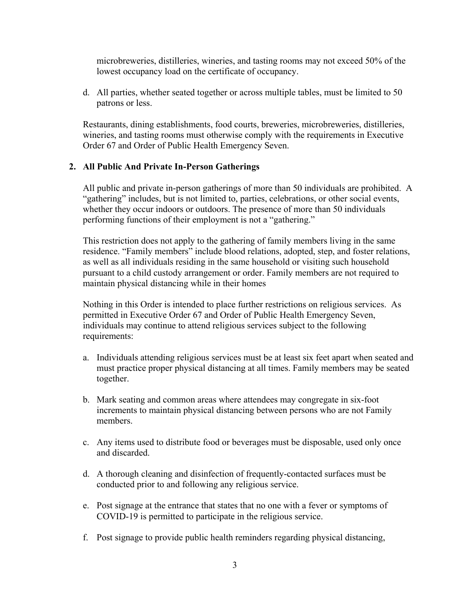microbreweries, distilleries, wineries, and tasting rooms may not exceed 50% of the lowest occupancy load on the certificate of occupancy.

d. All parties, whether seated together or across multiple tables, must be limited to 50 patrons or less.

Restaurants, dining establishments, food courts, breweries, microbreweries, distilleries, wineries, and tasting rooms must otherwise comply with the requirements in Executive Order 67 and Order of Public Health Emergency Seven.

### **2. All Public And Private In-Person Gatherings**

All public and private in-person gatherings of more than 50 individuals are prohibited. A "gathering" includes, but is not limited to, parties, celebrations, or other social events, whether they occur indoors or outdoors. The presence of more than 50 individuals performing functions of their employment is not a "gathering."

This restriction does not apply to the gathering of family members living in the same residence. "Family members" include blood relations, adopted, step, and foster relations, as well as all individuals residing in the same household or visiting such household pursuant to a child custody arrangement or order. Family members are not required to maintain physical distancing while in their homes

Nothing in this Order is intended to place further restrictions on religious services. As permitted in Executive Order 67 and Order of Public Health Emergency Seven, individuals may continue to attend religious services subject to the following requirements:

- a. Individuals attending religious services must be at least six feet apart when seated and must practice proper physical distancing at all times. Family members may be seated together.
- b. Mark seating and common areas where attendees may congregate in six-foot increments to maintain physical distancing between persons who are not Family members.
- c. Any items used to distribute food or beverages must be disposable, used only once and discarded.
- d. A thorough cleaning and disinfection of frequently-contacted surfaces must be conducted prior to and following any religious service.
- e. Post signage at the entrance that states that no one with a fever or symptoms of COVID-19 is permitted to participate in the religious service.
- f. Post signage to provide public health reminders regarding physical distancing,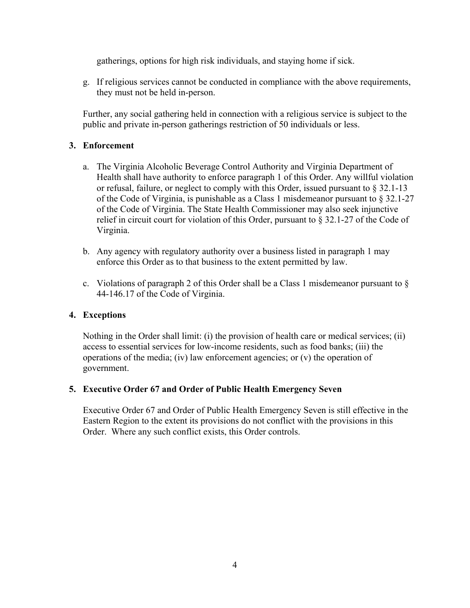gatherings, options for high risk individuals, and staying home if sick.

g. If religious services cannot be conducted in compliance with the above requirements, they must not be held in-person.

Further, any social gathering held in connection with a religious service is subject to the public and private in-person gatherings restriction of 50 individuals or less.

## **3. Enforcement**

- a. The Virginia Alcoholic Beverage Control Authority and Virginia Department of Health shall have authority to enforce paragraph 1 of this Order. Any willful violation or refusal, failure, or neglect to comply with this Order, issued pursuant to § 32.1-13 of the Code of Virginia, is punishable as a Class 1 misdemeanor pursuant to  $\S 32.1-27$ of the Code of Virginia. The State Health Commissioner may also seek injunctive relief in circuit court for violation of this Order, pursuant to § 32.1-27 of the Code of Virginia.
- b. Any agency with regulatory authority over a business listed in paragraph 1 may enforce this Order as to that business to the extent permitted by law.
- c. Violations of paragraph 2 of this Order shall be a Class 1 misdemeanor pursuant to  $\S$ 44-146.17 of the Code of Virginia.

#### **4. Exceptions**

Nothing in the Order shall limit: (i) the provision of health care or medical services; (ii) access to essential services for low-income residents, such as food banks; (iii) the operations of the media; (iv) law enforcement agencies; or (v) the operation of government.

#### **5. Executive Order 67 and Order of Public Health Emergency Seven**

Executive Order 67 and Order of Public Health Emergency Seven is still effective in the Eastern Region to the extent its provisions do not conflict with the provisions in this Order. Where any such conflict exists, this Order controls.